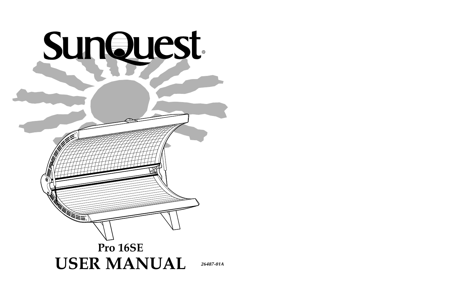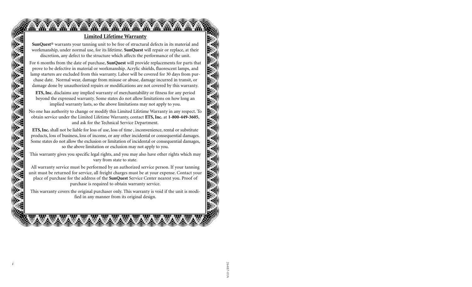### **Limited Lifetime Warranty**

**TAN TAN TAN TAN TAN TAN** 

**MARY AMAY** 

**SunQuest**® warrants your tanning unit to be free of structural defects in its material and workmanship, under normal use, for its lifetime. **SunQuest** will repair or replace, at their discretion, any defect to the structure which affects the performance of the unit.

For 6 months from the date of purchase, **SunQuest** will provide replacements for parts that prove to be defective in material or workmanship. Acrylic shields, fluorescent lamps, and lamp starters are excluded from this warranty. Labor will be covered for 30 days from purchase date. Normal wear, damage from misuse or abuse, damage incurred in transit, or damage done by unauthorized repairs or modifications are not covered by this warranty.

**ETS, Inc.** disclaims any implied warranty of merchantability or fitness for any period beyond the expressed warranty. Some states do not allow limitations on how long an implied warranty lasts, so the above limitations may not apply to you.

No one has authority to change or modify this Limited Lifetime Warranty in any respect. To obtain service under the Limited Lifetime Warranty, contact **ETS, Inc.** at **1-800-449-3605**, and ask for the Technical Service Department.

**ETS, Inc.** shall not be liable for loss of use, loss of time , inconvenience, rental or substitute products, loss of business, loss of income, or any other incidental or consequential damages. Some states do not allow the exclusion or limitation of incidental or consequential damages, so the above limitation or exclusion may not apply to you.

This warranty gives you specific legal rights, and you may also have other rights which may vary from state to state.

All warranty service must be performed by an authorized service person. If your tanning unit must be returned for service, all freight charges must be at your expense. Contact your place of purchase for the address of the **SunQuest** Service Center nearest you. Proof of purchase is required to obtain warranty service.

This warranty covers the original purchaser only. This warranty is void if the unit is modified in any manner from its original design.

**WXX**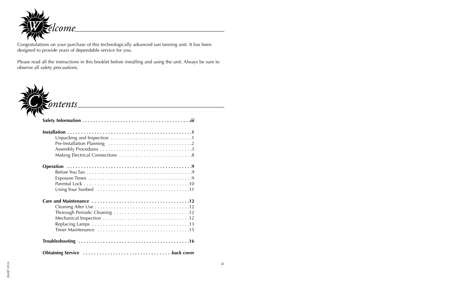![](_page_2_Picture_0.jpeg)

Congratulations on your purchase of this technologically advanced sun tanning unit. It has been designed to provide years of dependable service for you.

Please read all the instructions in this booklet before installing and using the unit. Always be sure to observe all safety precautions.

![](_page_2_Picture_3.jpeg)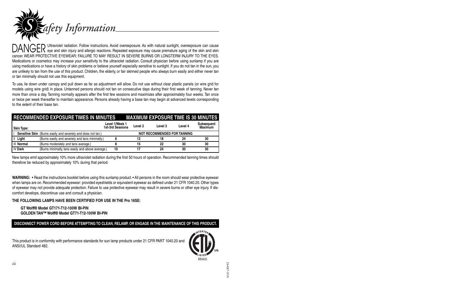![](_page_3_Picture_0.jpeg)

Ultraviolet radiation. Follow instructions. Avoid overexposure. As with natural sunlight, overexposure can cause  $\mathsf{DANGER}$  Ultraviolet radiation. Follow instructions. Avoid overexposure. As with natural sunlight, overexposure can cause<br> $\mathsf{DANGER}$  eye and skin injury and allergic reactions. Repeated exposure may cause premature agin cancer. WEAR PROTECTIVE EYEWEAR; FAILURE TO MAY RESULT IN SEVERE BURNS OR LONGTERM INJURY TO THE EYES. Medications or cosmetics may increase your sensitivity to the ultraviolet radiation. Consult physician before using sunlamp if you are using medications or have a history of skin problems or believe yourself especially sensitive to sunlight. If you do not tan in the sun, you are unlikely to tan from the use of this product. Children, the elderly, or fair skinned people who always burn easily and either never tan or tan minimally should not use this equipment.

To use, lie down under canopy and pull down as far as adjustment will allow. Do not use without clear plastic panels (or wire grid for models using wire grid) in place. Untanned persons should not tan on consecutive days during their first week of tanning. Never tan more than once a day. Tanning normally appears after the first few sessions and maximizes after approximately four weeks. Tan once or twice per week thereafter to maintain appearance. Persons already having a base tan may begin at advanced levels corresponding to the extent of their base tan.

|                | <b>RECOMMENDED EXPOSURE TIMES IN MINUTES</b>                        |                                    |         |                                    |         | <b>MAXIMUM EXPOSURE TIME IS 30 MINUTES</b> |
|----------------|---------------------------------------------------------------------|------------------------------------|---------|------------------------------------|---------|--------------------------------------------|
| Skin Type:     |                                                                     | Level 1/Week 1<br>1st-3rd Sessions | Level 2 | Level 3                            | Level 4 | Subsequent<br><b>Maximum</b>               |
|                | <b>Sensitive Skin</b> (Burns easily and severely and does not tan.) |                                    |         | <b>NOT RECOMMENDED FOR TANNING</b> |         |                                            |
| II Light       | (Burns easily and severely and tans minimally.)                     |                                    | 12      | 18                                 | 24      | 30                                         |
| III Normal     | (Burns moderately and tans average.)                                |                                    | 15      | 22                                 | 30      | 30                                         |
| <b>IV Dark</b> | (Burns minimally, tans easily and above average.)                   | 10                                 | 17      | 24                                 | 30      | 30                                         |

New lamps emit approximately 10% more ultraviolet radiation during the first 50 hours of operation. Recommended tanning times should therefore be reduced by approximately 10% during that period.

**WARNING:** • Read the instructions booklet before using this sunlamp product. • All persons in the room should wear protective eyewear when lamps are on. Recommended eyewear: provided eyeshields or equivalent eyewear as defined under 21 CFR 1040.20. Other types of eyewear may not provide adequate protection. Failure to use protective eyewear may result in severe burns or other eye injury. If discomfort develops, discontinue use and consult a physician.

### **THE FOLLOWING LAMPS HAVE BEEN CERTIFIED FOR USE IN THE Pro 16SE:**

### **GT Wolff® Model GT171-T12-100W BI-PINGOLDEN TAN™ Wolff® Model GT71-T12-100W BI-PIN**

### **DISCONNECT POWER CORD BEFORE ATTEMPTING TO CLEAN, RELAMP, OR ENGAGE IN THE MAINTENANCE OF THIS PRODUCT.**

This product is in conformity with performance standards for sun lamp products under 21 CFR PART 1040.20 and ANSI/UL Standard 482.

![](_page_3_Picture_10.jpeg)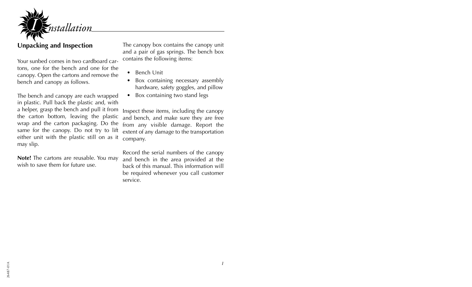![](_page_4_Picture_0.jpeg)

## **Unpacking and Inspection**

Your sunbed comes in two cardboard cartons, one for the bench and one for the canopy. Open the cartons and remove the bench and canopy as follows.

The bench and canopy are each wrapped in plastic. Pull back the plastic and, with a helper, grasp the bench and pull it from the carton bottom, leaving the plastic wrap and the carton packaging. Do the same for the canopy. Do not try to lift either unit with the plastic still on as it may slip.

**Note!** The cartons are reusable. You may wish to save them for future use.

The canopy box contains the canopy unit and a pair of gas springs. The bench box contains the following items:

- •Bench Unit
- • Box containing necessary assembly hardware, safety goggles, and pillow
- •Box containing two stand legs

Inspect these items, including the canopy and bench, and make sure they are free from any visible damage. Report the extent of any damage to the transportation company.

Record the serial numbers of the canopy and bench in the area provided at the back of this manual. This information willbe required whenever you call customer service.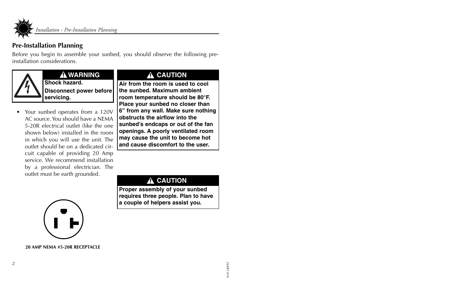![](_page_5_Picture_0.jpeg)

*Installation - Pre-Installation Planning*

## **Pre-Installation Planning**

Before you begin to assemble your sunbed, you should observe the following preinstallation considerations.

![](_page_5_Picture_4.jpeg)

## **WARNING**

**Shock hazard.Disconnect power before servicing.**

• Your sunbed operates from a 120V AC source. You should have a NEMA5-20R electrical outlet (like the one shown below) installed in the room in which you will use the unit. The outlet should be on a dedicated circuit capable of providing 20 Amp service. We recommend installationby a professional electrician. The outlet must be earth grounded.

# **A CAUTION**

**Air from the room is used to coolthe sunbed. Maximum ambientroom temperature should be 80°F. Place your sunbed no closer than 6" from any wall. Make sure nothing obstructs the airflow into thesunbed's endcaps or out of the fan openings. A poorly ventilated room may cause the unit to become hot and cause discomfort to the user.**

# **CAUTION**

**Proper assembly of your sunbed requires three people. Plan to have a couple of helpers assist you.**

![](_page_5_Picture_12.jpeg)

**20 AMP NEMA #5-20R RECEPTACLE**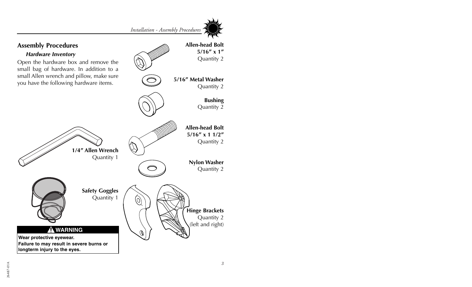![](_page_6_Picture_1.jpeg)

![](_page_6_Figure_2.jpeg)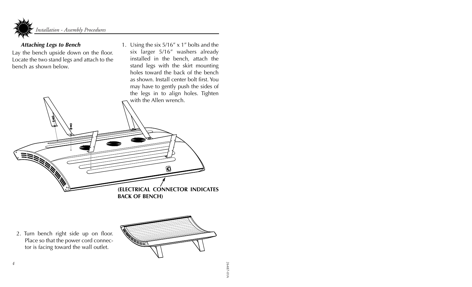![](_page_7_Picture_0.jpeg)

### *Attaching Legs to Bench*

Lay the bench upside down on the floor. Locate the two stand legs and attach to the bench as shown below.

1. Using the six 5/16" x 1" bolts and the six larger 5/16" washers already installed in the bench, attach the stand legs with the skirt mounting holes toward the back of the bench as shown. Install center bolt first. Youmay have to gently push the sides of the legs in to align holes. Tighten with the Allen wrench.

![](_page_7_Picture_4.jpeg)

2. Turn bench right side up on floor. Place so that the power cord connector is facing toward the wall outlet.

![](_page_7_Picture_6.jpeg)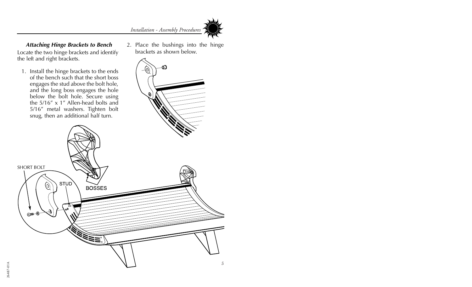![](_page_8_Picture_0.jpeg)

*Attaching Hinge Brackets to Bench* Locate the two hinge brackets and identify the left and right brackets.

- 1. Install the hinge brackets to the ends of the bench such that the short bossengages the stud above the bolt hole, and the long boss engages the hole below the bolt hole. Secure using the 5/16" x 1" Allen-head bolts and5/16" metal washers. Tighten bolt snug, then an additional half turn.
- 2. Place the bushings into the hinge brackets as shown below.

ബ

![](_page_8_Picture_4.jpeg)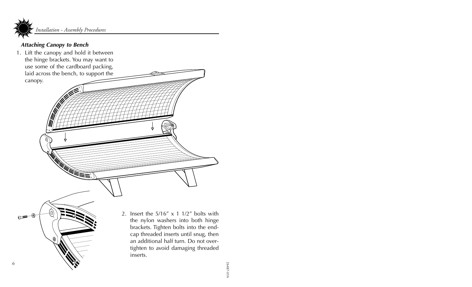![](_page_9_Picture_0.jpeg)

## *Attaching Canopy to Bench*

1. Lift the canopy and hold it between the hinge brackets. You may want to use some of the cardboard packing, laid across the bench, to support the canopy.

> 2. Insert the  $5/16'' \times 11/2''$  bolts with the nylon washers into both hinge brackets. Tighten bolts into the endcap threaded inserts until snug, then an additional half turn. Do not overtighten to avoid damaging threaded inserts.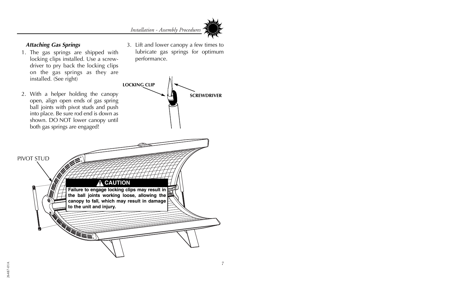![](_page_10_Picture_1.jpeg)

### *Attaching Gas Springs*

PIVOT STUD

- 1. The gas springs are shipped with locking clips installed. Use a screwdriver to pry back the locking clips on the gas springs as they are installed. (See right)
- 2. With a helper holding the canopy open, align open ends of gas spring ball joints with pivot studs and push into place. Be sure rod end is down as shown. DO NOT lower canopy until both gas springs are engaged!

3. Lift and lower canopy a few times to lubricate gas springs for optimum performance.

![](_page_10_Picture_6.jpeg)

## **CAUTION**

**Failure to engage locking clips may result in the ball joints working loose, allowing the canopy to fall, which may result in damage to the unit and injury.**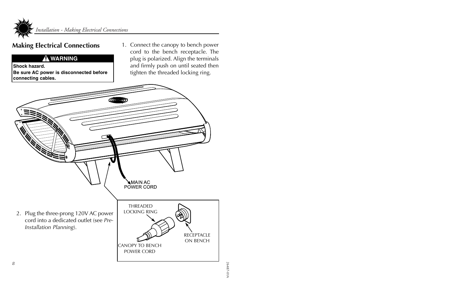![](_page_11_Picture_0.jpeg)

## **Making Electrical Connections**

## **WARNING**

**Shock hazard.Be sure AC power is disconnected before connecting cables.**

1. Connect the canopy to bench power cord to the bench receptacle. The plug is polarized. Align the terminals and firmly push on until seated then tighten the threaded locking ring.

![](_page_11_Picture_5.jpeg)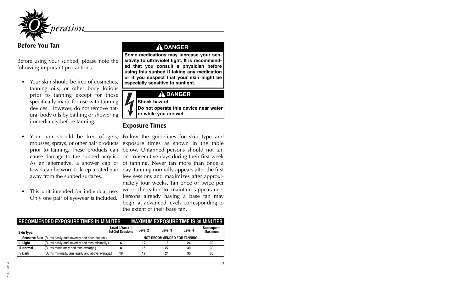![](_page_12_Picture_0.jpeg)

**Before You Tan**

Before using your sunbed, please note the following important precautions.

- • Your skin should be free of cosmetics, tanning oils, or other body lotions prior to tanning except for those specifically made for use with tanning devices. However, do not remove natural body oils by bathing or showering immediately before tanning.
- • Your hair should be free of gels, mousses, sprays, or other hair products prior to tanning. These products can cause damage to the sunbed acrylic. As an alternative, a shower cap or towel can be worn to keep treated hair away from the sunbed surfaces.
- • This unit intended for individual use.Only one pair of eyewear is included.

## $\Lambda$  DANGER

**Some medications may increase your sensitivity to ultraviolet light. It is recommended that you consult a physician before using this sunbed if taking any medication or if you suspect that your skin might be especially sensitive to sunlight.**

## **DANGER**

**Shock hazard.**

**Do not operate this device near water or while you are wet.**

## **Exposure Times**

Follow the guidelines for skin type and exposure times as shown in the table below. Untanned persons should not tan on consecutive days during their first week of tanning. Never tan more than once a day. Tanning normally appears after the first few sessions and maximizes after approximately four weeks. Tan once or twice per week thereafter to maintain appearance. Persons already having a base tan may begin at advanced levels corresponding to the extent of their base tan.

|                   | <b>RECOMMENDED EXPOSURE TIMES IN MINUTES</b>                 |                                           |         | <b>MAXIMUM EXPOSURE TIME IS 30 MINUTES</b> |         |                                     |
|-------------------|--------------------------------------------------------------|-------------------------------------------|---------|--------------------------------------------|---------|-------------------------------------|
| <b>Skin Type:</b> |                                                              | Level 1/Week 1<br><b>1st-3rd Sessions</b> | Level 2 | Level 3                                    | Level 4 | <b>Subsequent</b><br><b>Maximum</b> |
|                   | Sensitive Skin (Burns easily and severely and does not tan.) |                                           |         | <b>NOT RECOMMENDED FOR TANNING</b>         |         |                                     |
| II Light          | (Burns easily and severely and tans minimally.)              |                                           | 12      | 18                                         | 24      | 30                                  |
| III Normal        | (Burns moderately and tans average.)                         |                                           | 15      | 22                                         | 30      | 30                                  |
| <b>IV Dark</b>    | (Burns minimally, tans easily and above average.)            | 10                                        |         | 24                                         | 30      | 30                                  |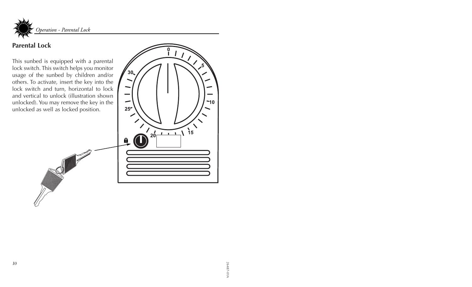![](_page_13_Picture_0.jpeg)

## **Parental Lock**

This sunbed is equipped with a parental lock switch. This switch helps you monitor usage of the sunbed by children and/or others. To activate, insert the key into the lock switch and turn, horizontal to lock and vertical to unlock (illustration shown unlocked). You may remove the key in the unlocked as well as locked position.

![](_page_13_Figure_3.jpeg)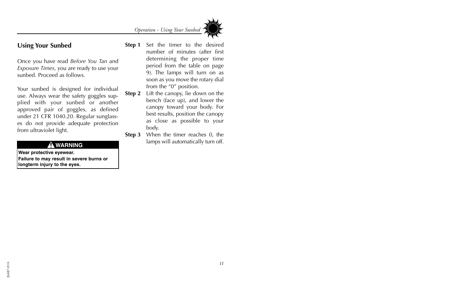*Operation - Using Your Sunbed*

![](_page_14_Picture_1.jpeg)

## **Using Your Sunbed**

Once you have read *Before You Tan* and *Exposure Times*, you are ready to use your sunbed. Proceed as follows.

Your sunbed is designed for individual use. Always wear the safety goggles supplied with your sunbed or another approved pair of goggles, as defined under 21 CFR 1040.20. Regular sunglasses do not provide adequate protection from ultraviolet light.

**Wear protective eyewear.**

**Failure to may result in severe burns or longterm injury to the eyes.**

- **Step 1** Set the timer to the desired number of minutes (after first determining the proper time period from the table on page 9). The lamps will turn on as soon as you move the rotary dial from the "0" position.
- **Step 2** Lift the canopy, lie down on the bench (face up), and lower the canopy toward your body. For best results, position the canopy as close as possible to your body.
- **Step 3** When the timer reaches 0, the lamps will automatically turn off. **WARNING**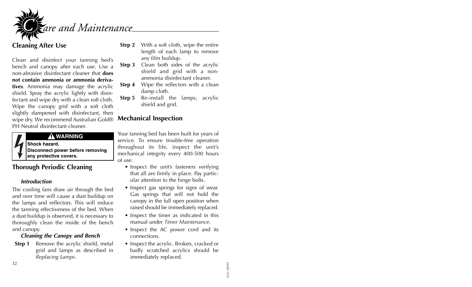![](_page_15_Picture_0.jpeg)

## **Cleaning After Use**

Clean and disinfect your tanning bed's bench and canopy after each use. Use a non-abrasive disinfectant cleaner that **doesnot contain ammonia or ammonia derivatives**. Ammonia may damage the acrylic shield. Spray the acrylic lightly with disinfectant and wipe dry with a clean soft cloth. Wipe the canopy grid with a soft cloth slightly dampened with disinfectant, then wipe dry. We recommend Australian Gold® PH Neutral disinfectant cleaner.

![](_page_15_Picture_3.jpeg)

## **WARNING**

**Shock hazard.**

**Disconnect power before removing any protective covers.**

## **Thorough Periodic Cleaning**

### *Introduction*

The cooling fans draw air through the bed and over time will cause a dust buildup on the lamps and reflectors. This will reduce the tanning effectiveness of the bed. When a dust buildup is observed, it is necessary to thoroughly clean the inside of the bench and canopy.

### *Cleaning the Canopy and Bench*

**Step 1** Remove the acrylic shield, metal grid and lamps as described in *Replacing Lamps*.

- **Step 2** With a soft cloth, wipe the entire length of each lamp to remove any film buildup.
- **Step 3** Clean both sides of the acrylic shield and grid with a nonammonia disinfectant cleaner.
- **Step 4** Wipe the reflectors with a clean damp cloth.
- **Step 5** Re-install the lamps, acrylic shield and grid.

## **Mechanical Inspection**

Your tanning bed has been built for years of service. To ensure trouble-free operation throughout its life, inspect the unit's mechanical integrity every 400-500 hours of use.

- Inspect the unit's fasteners verifying that all are firmly in place. Pay particular attention to the hinge bolts.
- Inspect gas springs for signs of wear. Gas springs that will not hold the canopy in the full open position when raised should be immediately replaced.
- Inspect the timer as indicated in this manual under *Timer Maintenance*.
- Inspect the AC power cord and its connections.
- Inspect the acrylic. Broken, cracked or badly scratched acrylics should be immediately replaced.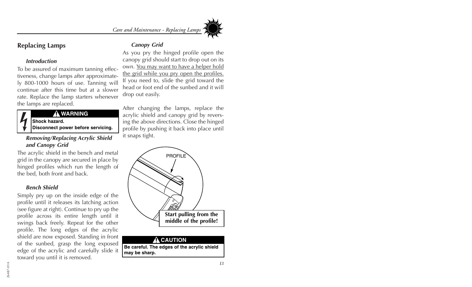*Care and Maintenance - Replacing Lamps*

## **Replacing Lamps**

### *Introduction*

To be assured of maximum tanning effectiveness, change lamps after approximately 800-1000 hours of use. Tanning will continue after this time but at a slowerrate. Replace the lamp starters whenever the lamps are replaced.

## **WARNING**

**Shock hazard.**

**Disconnect power before servicing.**

### *Removing/Replacing Acrylic Shield and Canopy Grid*

The acrylic shield in the bench and metal grid in the canopy are secured in place by hinged profiles which run the length of the bed, both front and back.

### *Bench Shield*

Simply pry up on the inside edge of the profile until it releases its latching action (see figure at right). Continue to pry up the profile across its entire length until it swings back freely. Repeat for the other profile. The long edges of the acrylic shield are now exposed. Standing in front of the sunbed, grasp the long exposed edge of the acrylic and carefully slide it toward you until it is removed.

## *Canopy Grid*

As you pry the hinged profile open the canopy grid should start to drop out on its own. <u>You may want to have a helper hold</u> the grid while you pry open the profiles. If you need to, slide the grid toward the head or foot end of the sunbed and it willdrop out easily.

After changing the lamps, replace the acrylic shield and canopy grid by reversing the above directions. Close the hinged profile by pushing it back into place until it snaps tight.

![](_page_16_Picture_14.jpeg)

**Be careful. The edges of the acrylic shield may be sharp.**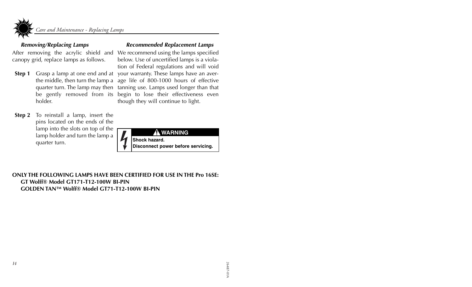![](_page_17_Picture_0.jpeg)

### *Removing/Replacing Lamps*

After removing the acrylic shield and We recommend using the lamps specified canopy grid, replace lamps as follows.

- **Step 1** Grasp a lamp at one end and at the middle, then turn the lamp a quarter turn. The lamp may then be gently removed from its holder.
- **Step 2** To reinstall a lamp, insert the pins located on the ends of the lamp into the slots on top of the lamp holder and turn the lamp a quarter turn.

### *Recommended Replacement Lamps*

below. Use of uncertified lamps is a violation of Federal regulations and will void your warranty. These lamps have an average life of 800-1000 hours of effective tanning use. Lamps used longer than that begin to lose their effectiveness even though they will continue to light.

![](_page_17_Picture_7.jpeg)

### **ONLY THE FOLLOWING LAMPS HAVE BEEN CERTIFIED FOR USE IN THE Pro 16SE:GT Wolff® Model GT171-T12-100W BI-PINGOLDEN TAN™ Wolff® Model GT71-T12-100W BI-PIN**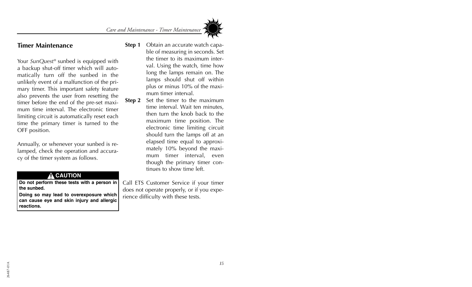*Care and Maintenance - Timer Maintenance*

![](_page_18_Picture_1.jpeg)

Your *SunQuest®* sunbed is equipped with a backup shut-off timer which will automatically turn off the sunbed in the unlikely event of a malfunction of the primary timer. This important safety feature also prevents the user from resetting the timer before the end of the pre-set maximum time interval. The electronic timerlimiting circuit is automatically reset each time the primary timer is turned to the OFF position.

Annually, or whenever your sunbed is relamped, check the operation and accuracy of the timer system as follows.

### $\hat{\mathbf{\Lambda}}$  CAUTION

**Do not perform these tests with a person in the sunbed.**

**Doing so may lead to overexposure which can cause eye and skin injury and allergic reactions.**

- **Step 1** Obtain an accurate watch capable of measuring in seconds. Set the timer to its maximum interval. Using the watch, time how long the lamps remain on. The lamps should shut off within plus or minus 10% of the maximum timer interval.
- **Step 2** Set the timer to the maximum time interval. Wait ten minutes, then turn the knob back to themaximum time position. The electronic time limiting circuit should turn the lamps off at an elapsed time equal to approximately 10% beyond the maximum timer interval, even though the primary timer continues to show time left.

Call ETS Customer Service if your timer does not operate properly, or if you experience difficulty with these tests.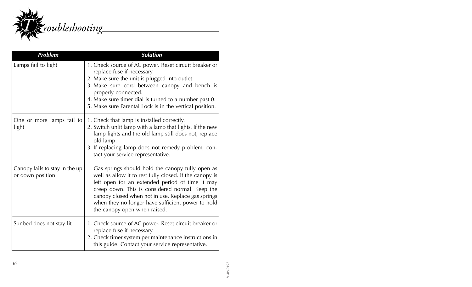![](_page_19_Picture_0.jpeg)

| <b>Problem</b>                                     | <b>Solution</b>                                                                                                                                                                                                                                                                                                                                              |
|----------------------------------------------------|--------------------------------------------------------------------------------------------------------------------------------------------------------------------------------------------------------------------------------------------------------------------------------------------------------------------------------------------------------------|
| Lamps fail to light                                | 1. Check source of AC power. Reset circuit breaker or<br>replace fuse if necessary.<br>2. Make sure the unit is plugged into outlet.<br>3. Make sure cord between canopy and bench is<br>properly connected.<br>4. Make sure timer dial is turned to a number past 0.<br>5. Make sure Parental Lock is in the vertical position.                             |
| One or more lamps fail to<br>light                 | 1. Check that lamp is installed correctly.<br>2. Switch unlit lamp with a lamp that lights. If the new<br>lamp lights and the old lamp still does not, replace<br>old lamp.<br>3. If replacing lamp does not remedy problem, con-<br>tact your service representative.                                                                                       |
| Canopy fails to stay in the up<br>or down position | Gas springs should hold the canopy fully open as<br>well as allow it to rest fully closed. If the canopy is<br>left open for an extended period of time it may<br>creep down. This is considered normal. Keep the<br>canopy closed when not in use. Replace gas springs<br>when they no longer have sufficient power to hold<br>the canopy open when raised. |
| Sunbed does not stay lit                           | 1. Check source of AC power. Reset circuit breaker or<br>replace fuse if necessary.<br>2. Check timer system per maintenance instructions in<br>this guide. Contact your service representative.                                                                                                                                                             |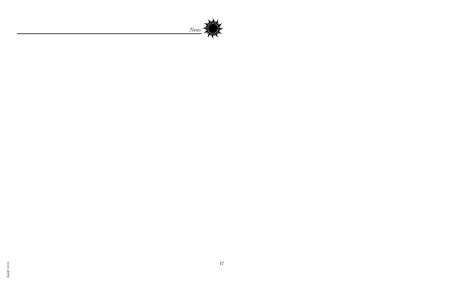![](_page_20_Picture_0.jpeg)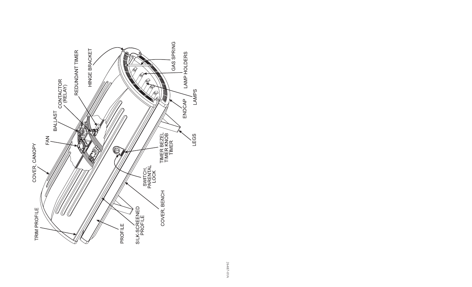![](_page_21_Figure_0.jpeg)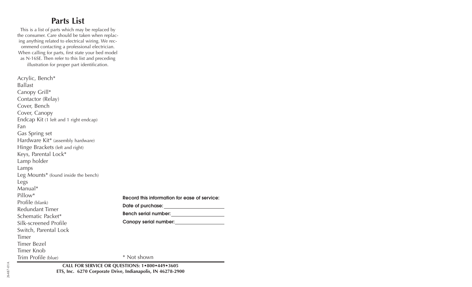# **Parts List**

This is a list of parts which may be replaced by the consumer. Care should be taken when replacing anything related to electrical wiring. We recommend contacting a professional electrician. When calling for parts, first state your bed model as N-16SE. Then refer to this list and preceding illustration for proper part identification.

Acrylic, Bench\* BallastCanopy Grill\* Contactor (Relay) Cover, Bench Cover, Canopy Endcap Kit (1 left and 1 right endcap) FanGas Spring set Hardware Kit\* (assembly hardware) Hinge Brackets (left and right) Keys, Parental Lock\* Lamp holder Lamps Leg Mounts\* (found inside the bench) Legs Manual\*Pillow\*Profile (blank) Redundant TimerSchematic Packet\*Silk-screened ProfileSwitch, Parental Lock TimerTimer BezelTimer KnobTrim Profile (blue) **Record this information for ease of service:Date of purchase: Bench serial number: Canopy serial number:** \* Not shown